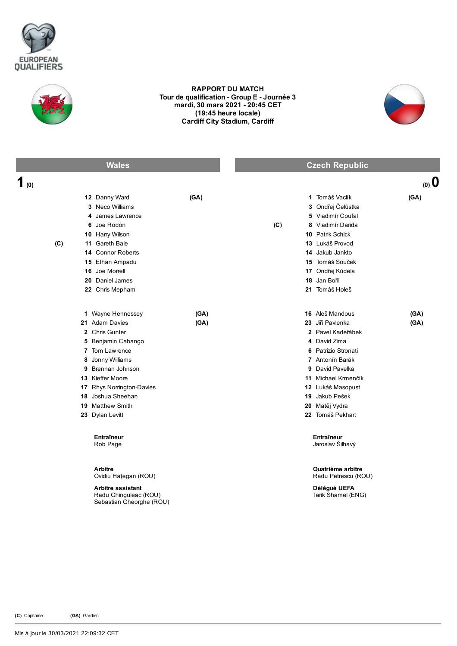



## RAPPORT DU MATCH Tour de qualification - Group E - Journée 3 mardi, 30 mars 2021 20:45 CET (19:45 heure locale) Cardiff City Stadium, Cardiff



| <b>Wales</b>                                                                                                                                                                                                                                                        | <b>Czech Republic</b>                                                                                                                                                                                                                                     |
|---------------------------------------------------------------------------------------------------------------------------------------------------------------------------------------------------------------------------------------------------------------------|-----------------------------------------------------------------------------------------------------------------------------------------------------------------------------------------------------------------------------------------------------------|
| 1 <sub>(0)</sub>                                                                                                                                                                                                                                                    | (0, 0)                                                                                                                                                                                                                                                    |
| 12 Danny Ward<br>(GA)<br>3 Neco Williams<br>4 James Lawrence<br>6 Joe Rodon<br>10 Harry Wilson                                                                                                                                                                      | 1 Tomáš Vaclík<br>(GA)<br>3 Ondřej Čelůstka<br>5 Vladimír Coufal<br>(C)<br>Vladimír Darida<br>8<br>10 Patrik Schick                                                                                                                                       |
| 11 Gareth Bale<br>(C)<br>14 Connor Roberts<br>15 Ethan Ampadu<br>16 Joe Morrell<br>20 Daniel James<br>22 Chris Mepham                                                                                                                                               | 13 Lukáš Provod<br>14 Jakub Jankto<br>15 Tomáš Souček<br>17 Ondřej Kúdela<br>18 Jan Bořil<br>21 Tomáš Holeš                                                                                                                                               |
| 1 Wayne Hennessey<br>(GA)<br>21 Adam Davies<br>(GA)<br>2 Chris Gunter<br>5 Benjamin Cabango<br>7 Tom Lawrence<br>8 Jonny Williams<br>9 Brennan Johnson<br>13 Kieffer Moore<br>17 Rhys Norrington-Davies<br>18 Joshua Sheehan<br>19 Matthew Smith<br>23 Dylan Levitt | 16 Aleš Mandous<br>(GA)<br>23 Jiří Pavlenka<br>(GA)<br>2 Pavel Kadeřábek<br>4 David Zima<br>6 Patrizio Stronati<br>7 Antonín Barák<br>9 David Pavelka<br>11 Michael Krmenčík<br>12 Lukáš Masopust<br>19 Jakub Pešek<br>20 Matěj Vydra<br>22 Tomáš Pekhart |
| Entraîneur<br>Rob Page<br><b>Arbitre</b><br>Ovidiu Hategan (ROU)<br>Arbitre assistant<br>Radu Ghinguleac (ROU)<br>Sebastian Gheorghe (ROU)                                                                                                                          | Entraîneur<br>Jaroslav Šilhavý<br>Quatrième arbitre<br>Radu Petrescu (ROU)<br>Délégué UEFA<br>Tarik Shamel (ENG)                                                                                                                                          |